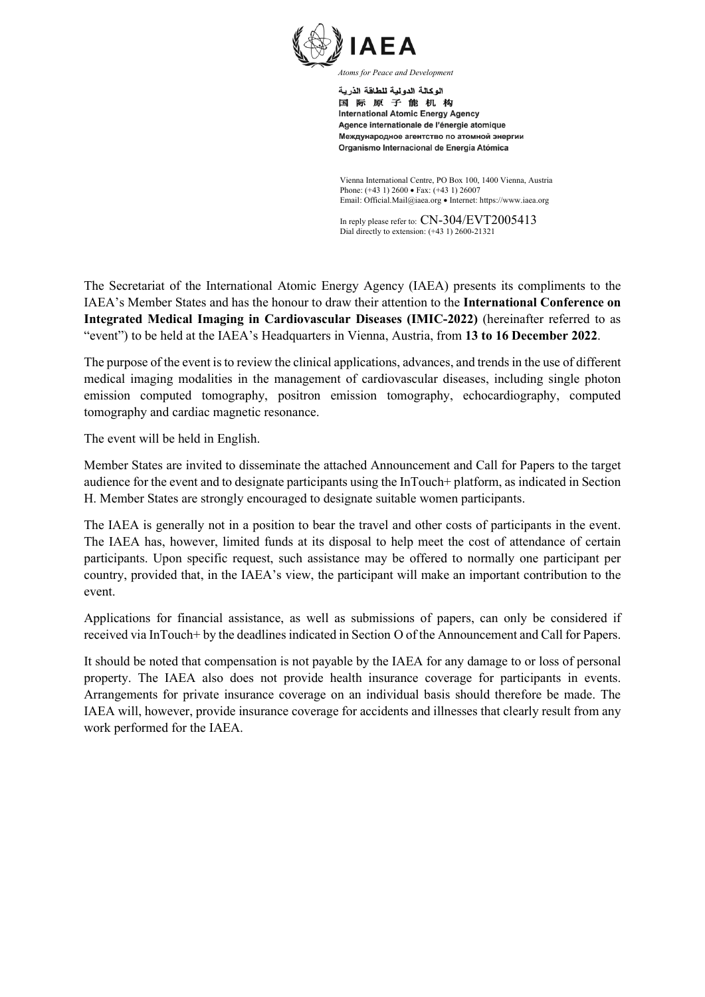

اله كالة الده لدة للطاقة الذرية 国际原子能机构 **International Atomic Energy Agency** Agence internationale de l'énergie atomique Международное агентство по атомной энергии Organismo Internacional de Energía Atómica

Vienna International Centre, PO Box 100, 1400 Vienna, Austria Phone: (+43 1) 2600 • Fax: (+43 1) 26007 Email: Official.Mail@iaea.org • Internet: https://www.iaea.org

In reply please refer to: CN-304/EVT2005413 Dial directly to extension: (+43 1) 2600-21321

The Secretariat of the International Atomic Energy Agency (IAEA) presents its compliments to the IAEA's Member States and has the honour to draw their attention to the **International Conference on Integrated Medical Imaging in Cardiovascular Diseases (IMIC-2022)** (hereinafter referred to as "event") to be held at the IAEA's Headquarters in Vienna, Austria, from **13 to 16 December 2022**.

The purpose of the event is to review the clinical applications, advances, and trends in the use of different medical imaging modalities in the management of cardiovascular diseases, including single photon emission computed tomography, positron emission tomography, echocardiography, computed tomography and cardiac magnetic resonance.

The event will be held in English.

Member States are invited to disseminate the attached Announcement and Call for Papers to the target audience for the event and to designate participants using the InTouch+ platform, as indicated in Section H. Member States are strongly encouraged to designate suitable women participants.

The IAEA is generally not in a position to bear the travel and other costs of participants in the event. The IAEA has, however, limited funds at its disposal to help meet the cost of attendance of certain participants. Upon specific request, such assistance may be offered to normally one participant per country, provided that, in the IAEA's view, the participant will make an important contribution to the event.

Applications for financial assistance, as well as submissions of papers, can only be considered if received via InTouch+ by the deadlines indicated in Section O of the Announcement and Call for Papers.

It should be noted that compensation is not payable by the IAEA for any damage to or loss of personal property. The IAEA also does not provide health insurance coverage for participants in events. Arrangements for private insurance coverage on an individual basis should therefore be made. The IAEA will, however, provide insurance coverage for accidents and illnesses that clearly result from any work performed for the IAEA.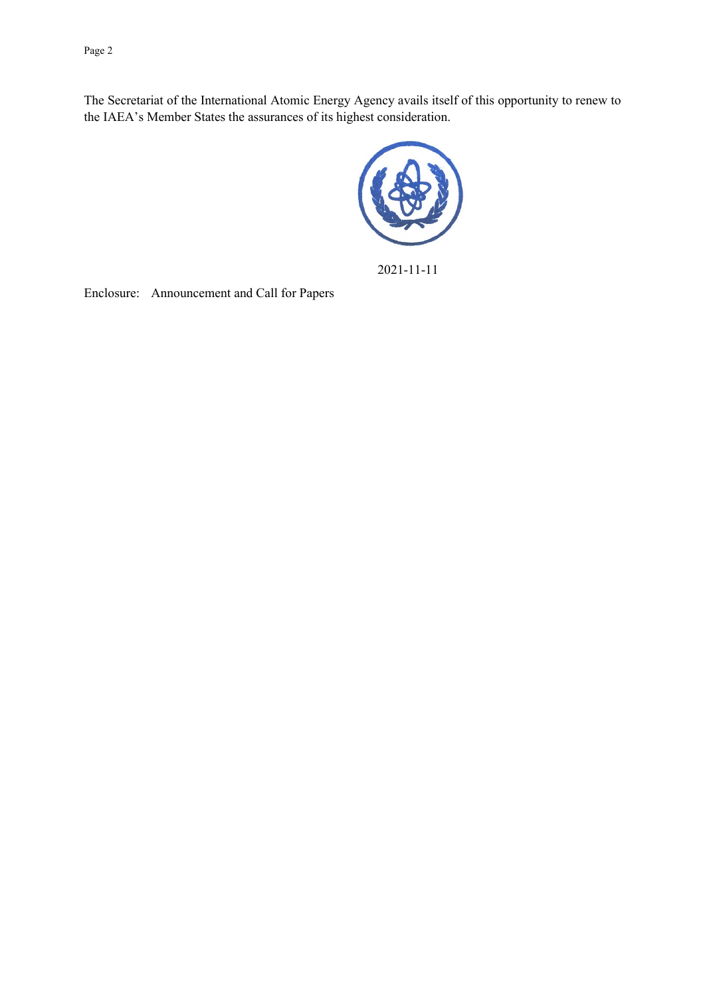Page 2

The Secretariat of the International Atomic Energy Agency avails itself of this opportunity to renew to the IAEA's Member States the assurances of its highest consideration.



2021-11-11

Enclosure: Announcement and Call for Papers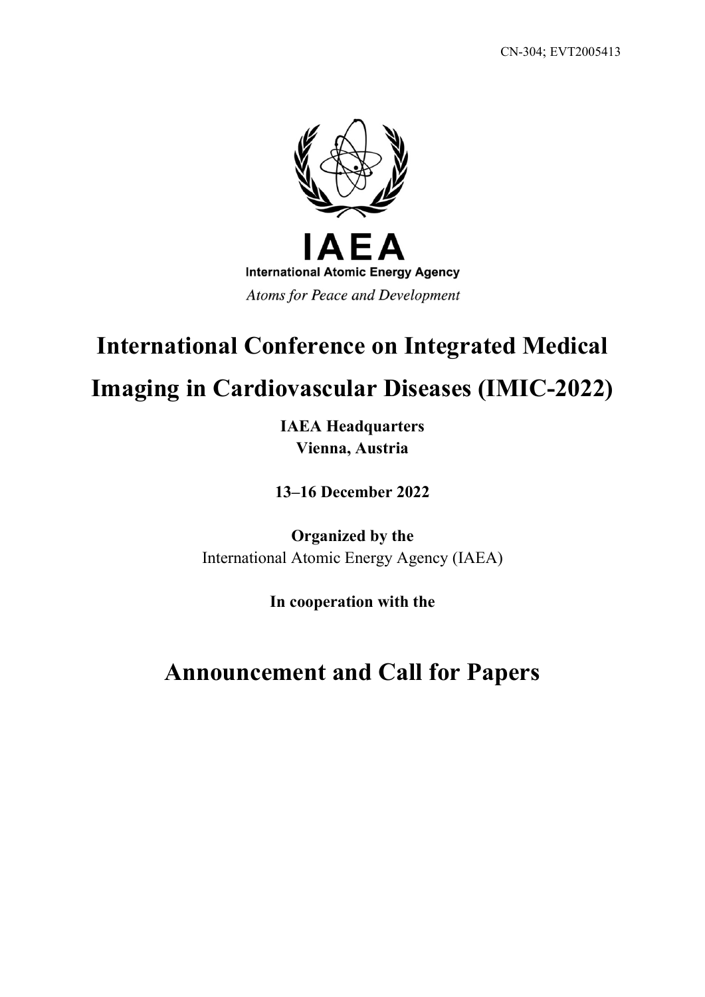

# **International Conference on Integrated Medical Imaging in Cardiovascular Diseases (IMIC-2022)**

**IAEA Headquarters Vienna, Austria**

**13–16 December 2022**

**Organized by the** International Atomic Energy Agency (IAEA)

**In cooperation with the**

# **Announcement and Call for Papers**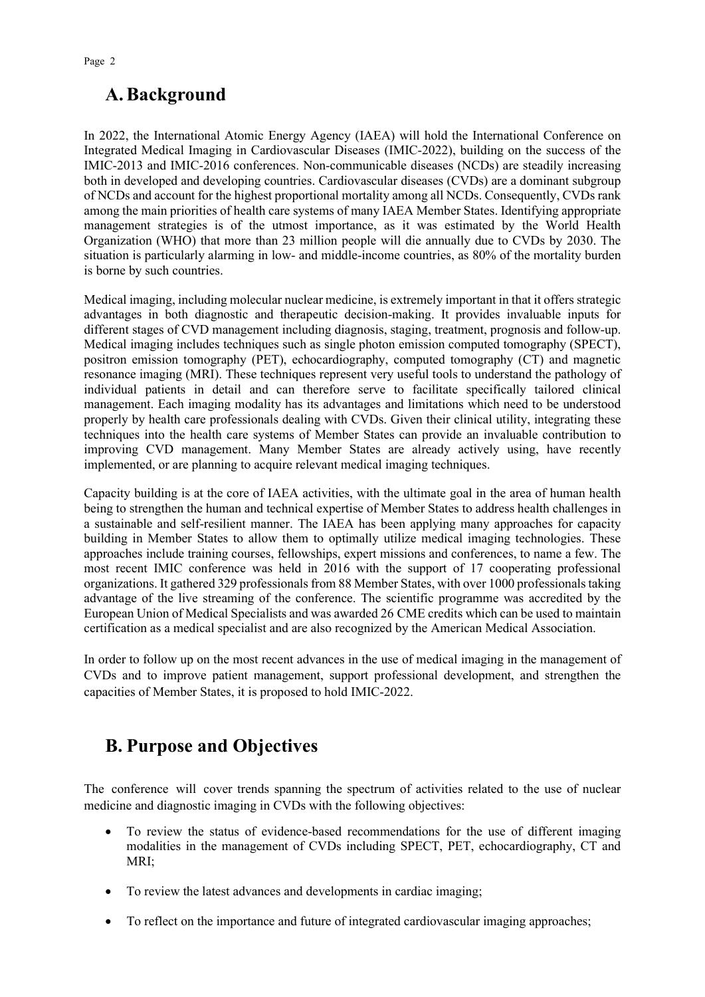# **A.Background**

In 2022, the International Atomic Energy Agency (IAEA) will hold the International Conference on Integrated Medical Imaging in Cardiovascular Diseases (IMIC-2022), building on the success of the IMIC-2013 and IMIC-2016 conferences. Non-communicable diseases (NCDs) are steadily increasing both in developed and developing countries. Cardiovascular diseases (CVDs) are a dominant subgroup of NCDs and account for the highest proportional mortality among all NCDs. Consequently, CVDs rank among the main priorities of health care systems of many IAEA Member States. Identifying appropriate management strategies is of the utmost importance, as it was estimated by the World Health Organization (WHO) that more than 23 million people will die annually due to CVDs by 2030. The situation is particularly alarming in low- and middle-income countries, as 80% of the mortality burden is borne by such countries.

Medical imaging, including molecular nuclear medicine, is extremely important in that it offers strategic advantages in both diagnostic and therapeutic decision-making. It provides invaluable inputs for different stages of CVD management including diagnosis, staging, treatment, prognosis and follow-up. Medical imaging includes techniques such as single photon emission computed tomography (SPECT), positron emission tomography (PET), echocardiography, computed tomography (CT) and magnetic resonance imaging (MRI). These techniques represent very useful tools to understand the pathology of individual patients in detail and can therefore serve to facilitate specifically tailored clinical management. Each imaging modality has its advantages and limitations which need to be understood properly by health care professionals dealing with CVDs. Given their clinical utility, integrating these techniques into the health care systems of Member States can provide an invaluable contribution to improving CVD management. Many Member States are already actively using, have recently implemented, or are planning to acquire relevant medical imaging techniques.

Capacity building is at the core of IAEA activities, with the ultimate goal in the area of human health being to strengthen the human and technical expertise of Member States to address health challenges in a sustainable and self-resilient manner. The IAEA has been applying many approaches for capacity building in Member States to allow them to optimally utilize medical imaging technologies. These approaches include training courses, fellowships, expert missions and conferences, to name a few. The most recent IMIC conference was held in 2016 with the support of 17 cooperating professional organizations. It gathered 329 professionals from 88 Member States, with over 1000 professionals taking advantage of the live streaming of the conference. The scientific programme was accredited by the European Union of Medical Specialists and was awarded 26 CME credits which can be used to maintain certification as a medical specialist and are also recognized by the American Medical Association.

In order to follow up on the most recent advances in the use of medical imaging in the management of CVDs and to improve patient management, support professional development, and strengthen the capacities of Member States, it is proposed to hold IMIC-2022.

# **B. Purpose and Objectives**

The conference will cover trends spanning the spectrum of activities related to the use of nuclear medicine and diagnostic imaging in CVDs with the following objectives:

- To review the status of evidence-based recommendations for the use of different imaging modalities in the management of CVDs including SPECT, PET, echocardiography, CT and MRI;
- To review the latest advances and developments in cardiac imaging;
- To reflect on the importance and future of integrated cardiovascular imaging approaches;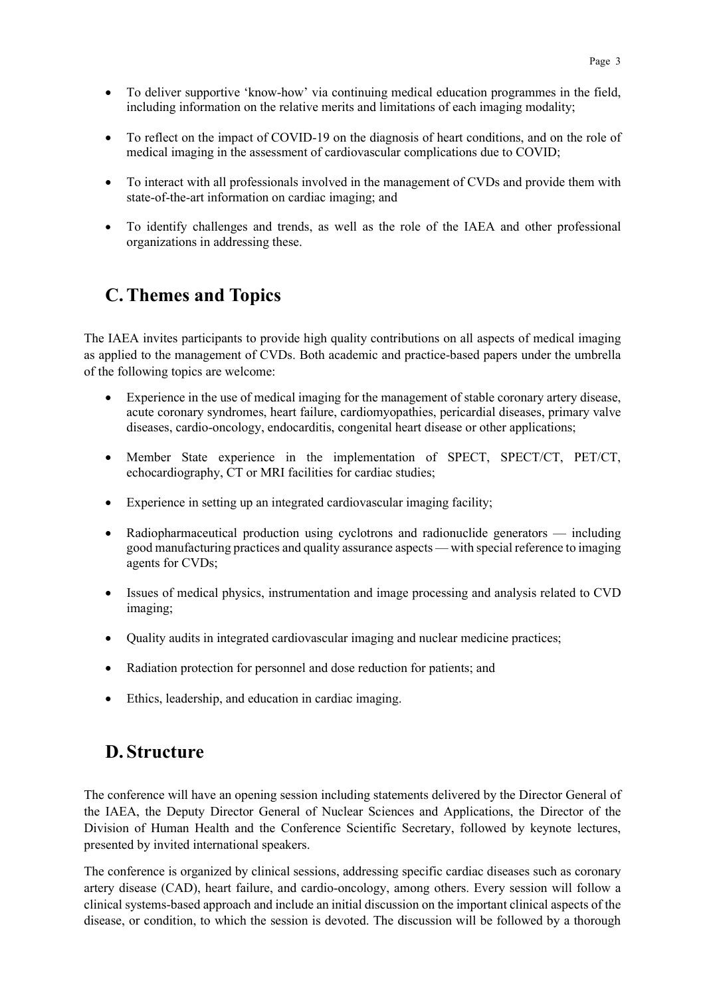- To deliver supportive 'know-how' via continuing medical education programmes in the field, including information on the relative merits and limitations of each imaging modality;
- To reflect on the impact of COVID-19 on the diagnosis of heart conditions, and on the role of medical imaging in the assessment of cardiovascular complications due to COVID;
- To interact with all professionals involved in the management of CVDs and provide them with state-of-the-art information on cardiac imaging; and
- To identify challenges and trends, as well as the role of the IAEA and other professional organizations in addressing these.

# **C.Themes and Topics**

The IAEA invites participants to provide high quality contributions on all aspects of medical imaging as applied to the management of CVDs. Both academic and practice-based papers under the umbrella of the following topics are welcome:

- Experience in the use of medical imaging for the management of stable coronary artery disease, acute coronary syndromes, heart failure, cardiomyopathies, pericardial diseases, primary valve diseases, cardio-oncology, endocarditis, congenital heart disease or other applications;
- Member State experience in the implementation of SPECT, SPECT/CT, PET/CT, echocardiography, CT or MRI facilities for cardiac studies;
- Experience in setting up an integrated cardiovascular imaging facility;
- Radiopharmaceutical production using cyclotrons and radionuclide generators including good manufacturing practices and quality assurance aspects — with special reference to imaging agents for CVDs;
- Issues of medical physics, instrumentation and image processing and analysis related to CVD imaging;
- Quality audits in integrated cardiovascular imaging and nuclear medicine practices;
- Radiation protection for personnel and dose reduction for patients; and
- Ethics, leadership, and education in cardiac imaging.

## **D. Structure**

The conference will have an opening session including statements delivered by the Director General of the IAEA, the Deputy Director General of Nuclear Sciences and Applications, the Director of the Division of Human Health and the Conference Scientific Secretary, followed by keynote lectures, presented by invited international speakers.

The conference is organized by clinical sessions, addressing specific cardiac diseases such as coronary artery disease (CAD), heart failure, and cardio-oncology, among others. Every session will follow a clinical systems-based approach and include an initial discussion on the important clinical aspects of the disease, or condition, to which the session is devoted. The discussion will be followed by a thorough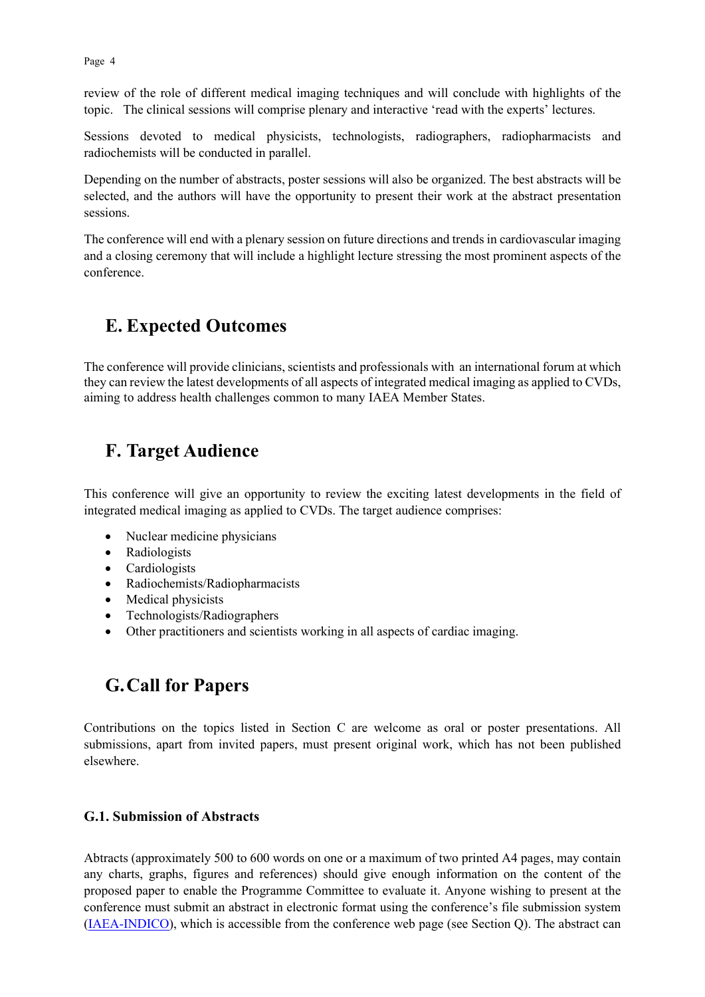Page 4

review of the role of different medical imaging techniques and will conclude with highlights of the topic. The clinical sessions will comprise plenary and interactive 'read with the experts' lectures.

Sessions devoted to medical physicists, technologists, radiographers, radiopharmacists and radiochemists will be conducted in parallel.

Depending on the number of abstracts, poster sessions will also be organized. The best abstracts will be selected, and the authors will have the opportunity to present their work at the abstract presentation sessions.

The conference will end with a plenary session on future directions and trends in cardiovascular imaging and a closing ceremony that will include a highlight lecture stressing the most prominent aspects of the conference.

# **E. Expected Outcomes**

The conference will provide clinicians, scientists and professionals with an international forum at which they can review the latest developments of all aspects of integrated medical imaging as applied to CVDs, aiming to address health challenges common to many IAEA Member States.

# **F. Target Audience**

This conference will give an opportunity to review the exciting latest developments in the field of integrated medical imaging as applied to CVDs. The target audience comprises:

- Nuclear medicine physicians
- Radiologists
- Cardiologists
- Radiochemists/Radiopharmacists
- Medical physicists
- Technologists/Radiographers
- Other practitioners and scientists working in all aspects of cardiac imaging.

# **G.Call for Papers**

Contributions on the topics listed in Section C are welcome as oral or poster presentations. All submissions, apart from invited papers, must present original work, which has not been published elsewhere.

### **G.1. Submission of Abstracts**

Abtracts (approximately 500 to 600 words on one or a maximum of two printed A4 pages, may contain any charts, graphs, figures and references) should give enough information on the content of the proposed paper to enable the Programme Committee to evaluate it. Anyone wishing to present at the conference must submit an abstract in electronic format using the conference's file submission system [\(IAEA-INDICO\)](https://conferences.iaea.org/), which is accessible from the conference web page (see Section Q). The abstract can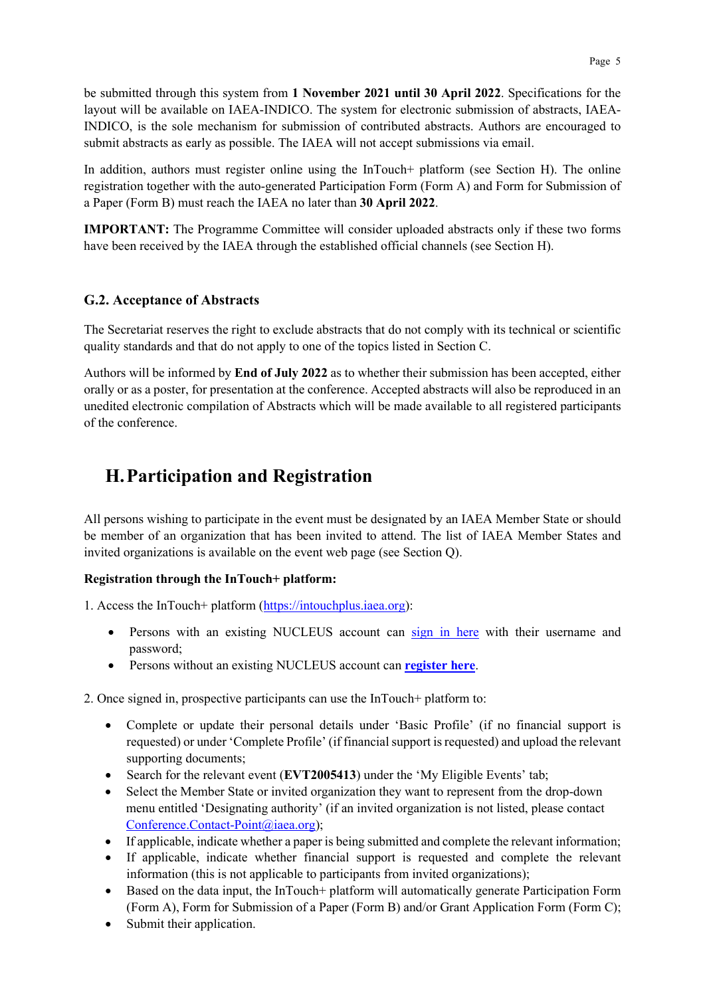be submitted through this system from **1 November 2021 until 30 April 2022**. Specifications for the layout will be available on IAEA-INDICO. The system for electronic submission of abstracts, IAEA-INDICO, is the sole mechanism for submission of contributed abstracts. Authors are encouraged to submit abstracts as early as possible. The IAEA will not accept submissions via email.

In addition, authors must register online using the InTouch+ platform (see Section H). The online registration together with the auto-generated Participation Form (Form A) and Form for Submission of a Paper (Form B) must reach the IAEA no later than **30 April 2022**.

**IMPORTANT:** The Programme Committee will consider uploaded abstracts only if these two forms have been received by the IAEA through the established official channels (see Section H).

### **G.2. Acceptance of Abstracts**

The Secretariat reserves the right to exclude abstracts that do not comply with its technical or scientific quality standards and that do not apply to one of the topics listed in Section C.

Authors will be informed by **End of July 2022** as to whether their submission has been accepted, either orally or as a poster, for presentation at the conference. Accepted abstracts will also be reproduced in an unedited electronic compilation of Abstracts which will be made available to all registered participants of the conference.

# **H.Participation and Registration**

All persons wishing to participate in the event must be designated by an IAEA Member State or should be member of an organization that has been invited to attend. The list of IAEA Member States and invited organizations is available on the event web page (see Section Q).

### **Registration through the InTouch+ platform:**

1. Access the InTouch+ platform [\(https://intouchplus.iaea.org\)](https://intouchplus.iaea.org/):

- Persons with an existing NUCLEUS account can [sign in here](https://nucleus.iaea.org/Pages/Help/SignIn.aspx) with their username and password;
- Persons without an existing NUCLEUS account can **[register](https://nucleus.iaea.org/Pages/Help/Registration.aspx) here**.

2. Once signed in, prospective participants can use the InTouch+ platform to:

- Complete or update their personal details under 'Basic Profile' (if no financial support is requested) or under 'Complete Profile' (if financial support is requested) and upload the relevant supporting documents;
- Search for the relevant event (**EVT2005413**) under the 'My Eligible Events' tab;
- Select the Member State or invited organization they want to represent from the drop-down menu entitled 'Designating authority' (if an invited organization is not listed, please contact [Conference.Contact-Point@iaea.org\)](mailto:Conference.Contact-Point@iaea.org);
- If applicable, indicate whether a paper is being submitted and complete the relevant information;
- If applicable, indicate whether financial support is requested and complete the relevant information (this is not applicable to participants from invited organizations);
- Based on the data input, the InTouch+ platform will automatically generate Participation Form (Form A), Form for Submission of a Paper (Form B) and/or Grant Application Form (Form C);
- Submit their application.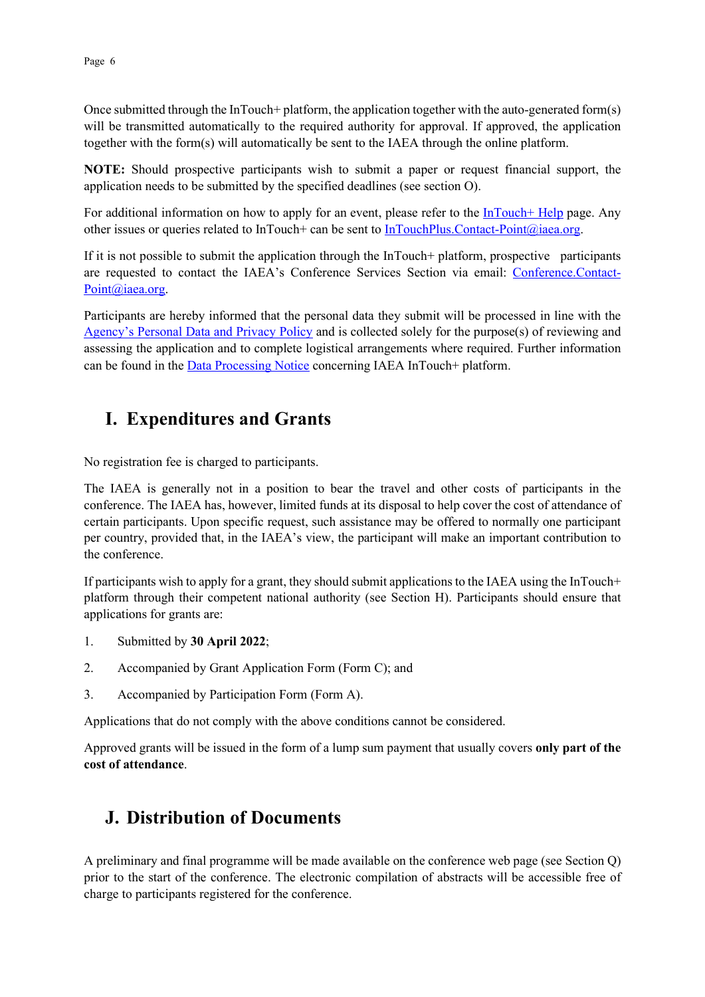Once submitted through the InTouch+ platform, the application together with the auto-generated form(s) will be transmitted automatically to the required authority for approval. If approved, the application together with the form(s) will automatically be sent to the IAEA through the online platform.

**NOTE:** Should prospective participants wish to submit a paper or request financial support, the application needs to be submitted by the specified deadlines (see section O).

For additional information on how to apply for an event, please refer to the  $InTouch+ Help$  page. Any other issues or queries related to InTouch+ can be sent to [InTouchPlus.Contact-Point@iaea.org.](mailto:InTouchPlus.Contact-Point@iaea.org)

If it is not possible to submit the application through the InTouch+ platform, prospective participants are requested to contact the IAEA's Conference Services Section via email: [Conference.Contact-](mailto:Conference.Contact-Point@iaea.org)[Point@iaea.org.](mailto:Conference.Contact-Point@iaea.org)

Participants are hereby informed that the personal data they submit will be processed in line with the [Agency's Personal Data and Privacy Policy](https://www.iaea.org/about/privacy-policy#:%7E:text=The%20IAEA%20is%20committed%20to,accountable%20and%20non%2Ddiscriminatory%20manner.&text=The%20Privacy%20Policy%20provides%20the,carrying%20out%20its%20mandated%20activities.) and is collected solely for the purpose(s) of reviewing and assessing the application and to complete logistical arrangements where required. Further information can be found in the [Data Processing Notice](https://nucleus.iaea.org/sites/intouchplushelp/Documents/itp_dpn.pdf) concerning IAEA InTouch+ platform.

## **I. Expenditures and Grants**

No registration fee is charged to participants.

The IAEA is generally not in a position to bear the travel and other costs of participants in the conference. The IAEA has, however, limited funds at its disposal to help cover the cost of attendance of certain participants. Upon specific request, such assistance may be offered to normally one participant per country, provided that, in the IAEA's view, the participant will make an important contribution to the conference.

If participants wish to apply for a grant, they should submit applications to the IAEA using the InTouch+ platform through their competent national authority (see Section H). Participants should ensure that applications for grants are:

- 1. Submitted by **30 April 2022**;
- 2. Accompanied by Grant Application Form (Form C); and
- 3. Accompanied by Participation Form (Form A).

Applications that do not comply with the above conditions cannot be considered.

Approved grants will be issued in the form of a lump sum payment that usually covers **only part of the cost of attendance**.

## **J. Distribution of Documents**

A preliminary and final programme will be made available on the conference web page (see Section Q) prior to the start of the conference. The electronic compilation of abstracts will be accessible free of charge to participants registered for the conference.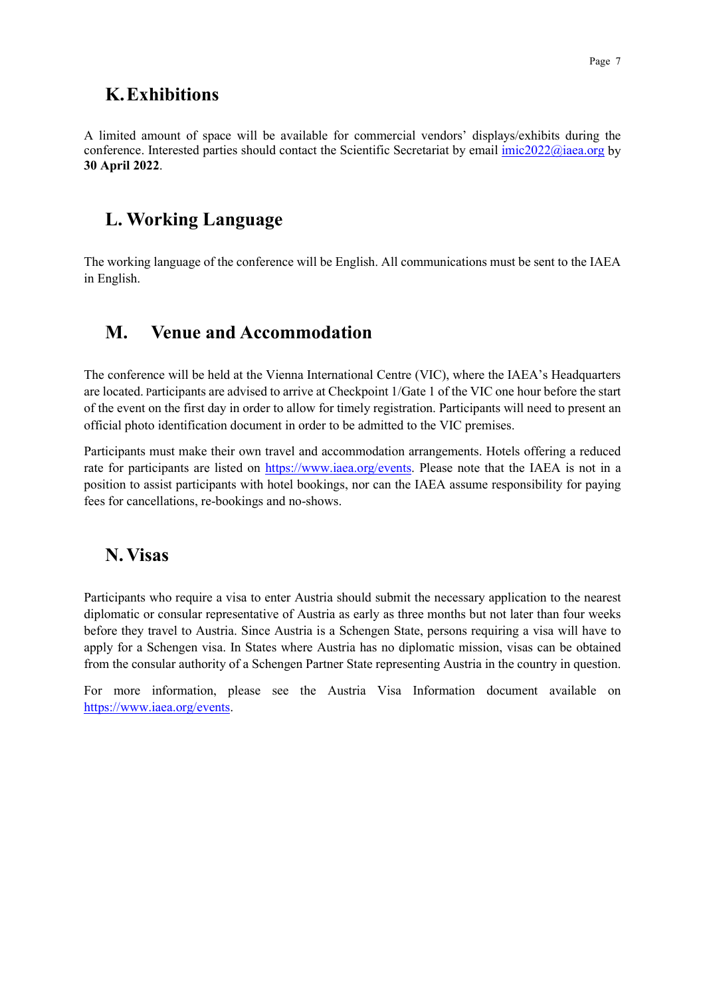## **K.Exhibitions**

A limited amount of space will be available for commercial vendors' displays/exhibits during the conference. Interested parties should contact the Scientific Secretariat by email [imic2022@iaea.org](mailto:imic2022@iaea.org) by **30 April 2022**.

# **L. Working Language**

The working language of the conference will be English. All communications must be sent to the IAEA in English.

## **M. Venue and Accommodation**

The conference will be held at the Vienna International Centre (VIC), where the IAEA's Headquarters are located. Participants are advised to arrive at Checkpoint 1/Gate 1 of the VIC one hour before the start of the event on the first day in order to allow for timely registration. Participants will need to present an official photo identification document in order to be admitted to the VIC premises.

Participants must make their own travel and accommodation arrangements. Hotels offering a reduced rate for participants are listed on [https://www.iaea.org/events.](https://www.iaea.org/events) Please note that the IAEA is not in a position to assist participants with hotel bookings, nor can the IAEA assume responsibility for paying fees for cancellations, re-bookings and no-shows.

## **N. Visas**

Participants who require a visa to enter Austria should submit the necessary application to the nearest diplomatic or consular representative of Austria as early as three months but not later than four weeks before they travel to Austria. Since Austria is a Schengen State, persons requiring a visa will have to apply for a Schengen visa. In States where Austria has no diplomatic mission, visas can be obtained from the consular authority of a Schengen Partner State representing Austria in the country in question.

For more information, please see the Austria Visa Information document available on [https://www.iaea.org/events.](https://www.iaea.org/events)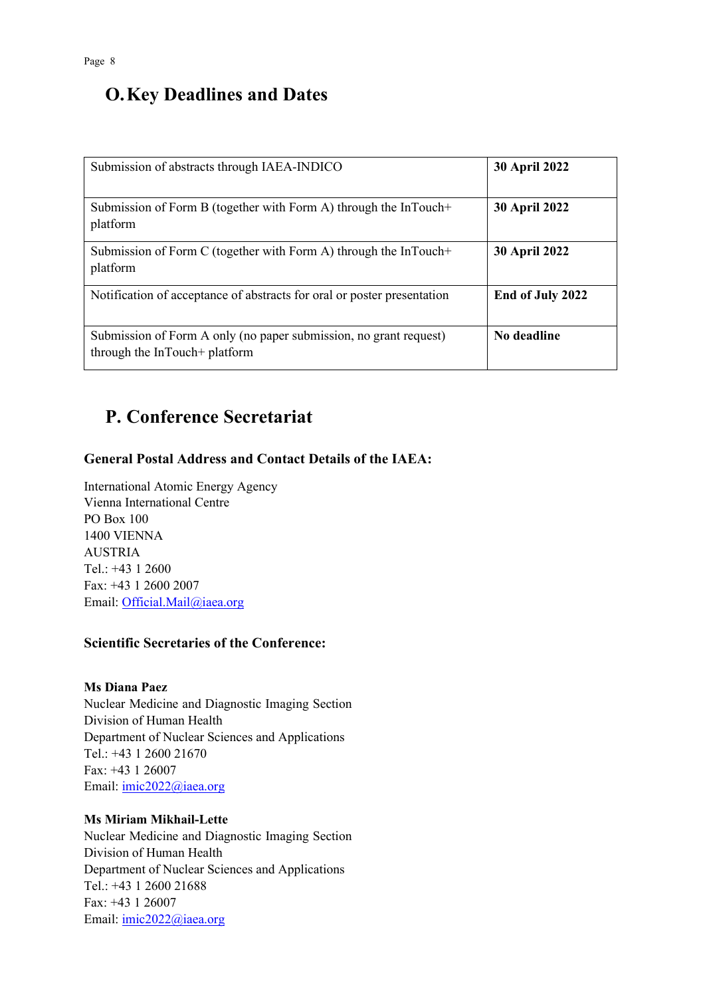# **O.Key Deadlines and Dates**

| Submission of abstracts through IAEA-INDICO                                                        | <b>30 April 2022</b> |
|----------------------------------------------------------------------------------------------------|----------------------|
| Submission of Form B (together with Form A) through the InTouch+<br>platform                       | <b>30 April 2022</b> |
| Submission of Form C (together with Form A) through the InTouch+<br>platform                       | <b>30 April 2022</b> |
| Notification of acceptance of abstracts for oral or poster presentation                            | End of July 2022     |
| Submission of Form A only (no paper submission, no grant request)<br>through the InTouch+ platform | No deadline          |

# **P. Conference Secretariat**

## **General Postal Address and Contact Details of the IAEA:**

International Atomic Energy Agency Vienna International Centre PO Box 100 1400 VIENNA AUSTRIA Tel.: +43 1 2600 Fax: +43 1 2600 2007 Email: [Official.Mail@iaea.org](mailto:official.mail@iaea.org)

### **Scientific Secretaries of the Conference:**

#### **Ms Diana Paez**

Nuclear Medicine and Diagnostic Imaging Section Division of Human Health Department of Nuclear Sciences and Applications Tel.: +43 1 2600 21670 Fax: +43 1 26007 Email: [imic2022@iaea.org](mailto:imic2022@iaea.org)

#### **Ms Miriam Mikhail-Lette**

Nuclear Medicine and Diagnostic Imaging Section Division of Human Health Department of Nuclear Sciences and Applications Tel.: +43 1 2600 21688 Fax: +43 1 26007 Email: [imic2022@iaea.org](mailto:imic2022@iaea.org)